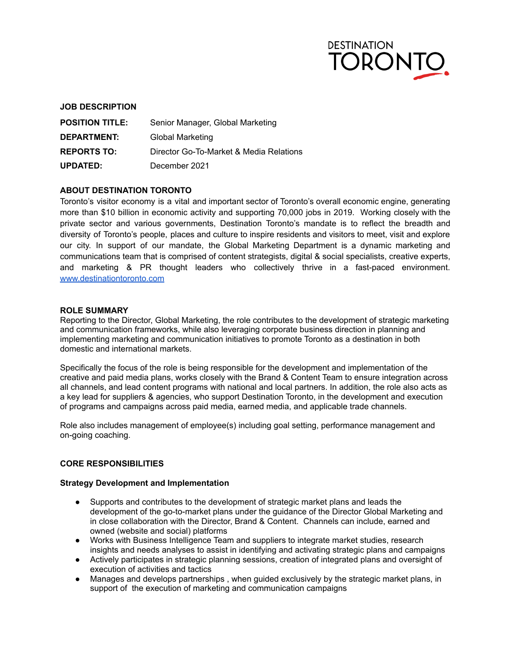

### **JOB DESCRIPTION**

| <b>POSITION TITLE:</b> | Senior Manager, Global Marketing        |
|------------------------|-----------------------------------------|
| DEPARTMENT:            | <b>Global Marketing</b>                 |
| <b>REPORTS TO:</b>     | Director Go-To-Market & Media Relations |
| <b>UPDATED:</b>        | December 2021                           |

### **ABOUT DESTINATION TORONTO**

Toronto's visitor economy is a vital and important sector of Toronto's overall economic engine, generating more than \$10 billion in economic activity and supporting 70,000 jobs in 2019. Working closely with the private sector and various governments, Destination Toronto's mandate is to reflect the breadth and diversity of Toronto's people, places and culture to inspire residents and visitors to meet, visit and explore our city. In support of our mandate, the Global Marketing Department is a dynamic marketing and communications team that is comprised of content strategists, digital & social specialists, creative experts, and marketing & PR thought leaders who collectively thrive in a fast-paced environment. [www.destinationtoronto.com](http://www.destinationtoronto.com/)

#### **ROLE SUMMARY**

Reporting to the Director, Global Marketing, the role contributes to the development of strategic marketing and communication frameworks, while also leveraging corporate business direction in planning and implementing marketing and communication initiatives to promote Toronto as a destination in both domestic and international markets.

Specifically the focus of the role is being responsible for the development and implementation of the creative and paid media plans, works closely with the Brand & Content Team to ensure integration across all channels, and lead content programs with national and local partners. In addition, the role also acts as a key lead for suppliers & agencies, who support Destination Toronto, in the development and execution of programs and campaigns across paid media, earned media, and applicable trade channels.

Role also includes management of employee(s) including goal setting, performance management and on-going coaching.

#### **CORE RESPONSIBILITIES**

#### **Strategy Development and Implementation**

- Supports and contributes to the development of strategic market plans and leads the development of the go-to-market plans under the guidance of the Director Global Marketing and in close collaboration with the Director, Brand & Content. Channels can include, earned and owned (website and social) platforms
- Works with Business Intelligence Team and suppliers to integrate market studies, research insights and needs analyses to assist in identifying and activating strategic plans and campaigns
- Actively participates in strategic planning sessions, creation of integrated plans and oversight of execution of activities and tactics
- Manages and develops partnerships , when guided exclusively by the strategic market plans, in support of the execution of marketing and communication campaigns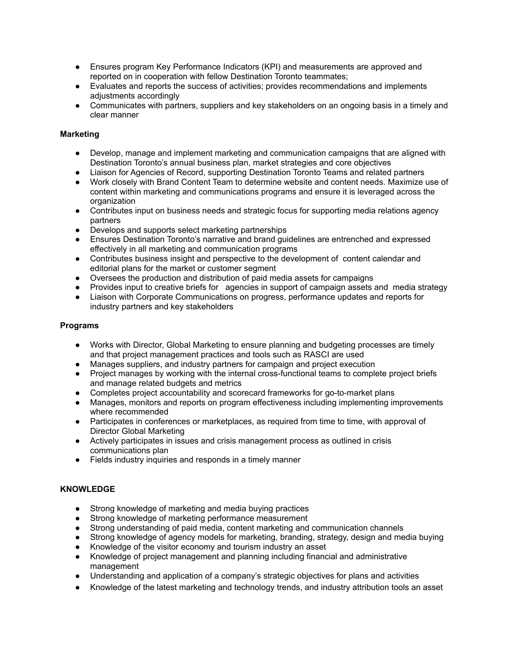- Ensures program Key Performance Indicators (KPI) and measurements are approved and reported on in cooperation with fellow Destination Toronto teammates;
- Evaluates and reports the success of activities; provides recommendations and implements adjustments accordingly
- Communicates with partners, suppliers and key stakeholders on an ongoing basis in a timely and clear manner

## **Marketing**

- Develop, manage and implement marketing and communication campaigns that are aligned with Destination Toronto's annual business plan, market strategies and core objectives
- Liaison for Agencies of Record, supporting Destination Toronto Teams and related partners
- Work closely with Brand Content Team to determine website and content needs. Maximize use of content within marketing and communications programs and ensure it is leveraged across the organization
- Contributes input on business needs and strategic focus for supporting media relations agency partners
- Develops and supports select marketing partnerships
- Ensures Destination Toronto's narrative and brand guidelines are entrenched and expressed effectively in all marketing and communication programs
- Contributes business insight and perspective to the development of content calendar and editorial plans for the market or customer segment
- Oversees the production and distribution of paid media assets for campaigns
- Provides input to creative briefs for agencies in support of campaign assets and media strategy
- Liaison with Corporate Communications on progress, performance updates and reports for industry partners and key stakeholders

## **Programs**

- Works with Director, Global Marketing to ensure planning and budgeting processes are timely and that project management practices and tools such as RASCI are used
- Manages suppliers, and industry partners for campaign and project execution
- Project manages by working with the internal cross-functional teams to complete project briefs and manage related budgets and metrics
- Completes project accountability and scorecard frameworks for go-to-market plans
- Manages, monitors and reports on program effectiveness including implementing improvements where recommended
- Participates in conferences or marketplaces, as required from time to time, with approval of Director Global Marketing
- Actively participates in issues and crisis management process as outlined in crisis communications plan
- Fields industry inquiries and responds in a timely manner

### **KNOWLEDGE**

- Strong knowledge of marketing and media buying practices
- Strong knowledge of marketing performance measurement
- Strong understanding of paid media, content marketing and communication channels
- Strong knowledge of agency models for marketing, branding, strategy, design and media buying
- Knowledge of the visitor economy and tourism industry an asset
- Knowledge of project management and planning including financial and administrative management
- Understanding and application of a company's strategic objectives for plans and activities
- Knowledge of the latest marketing and technology trends, and industry attribution tools an asset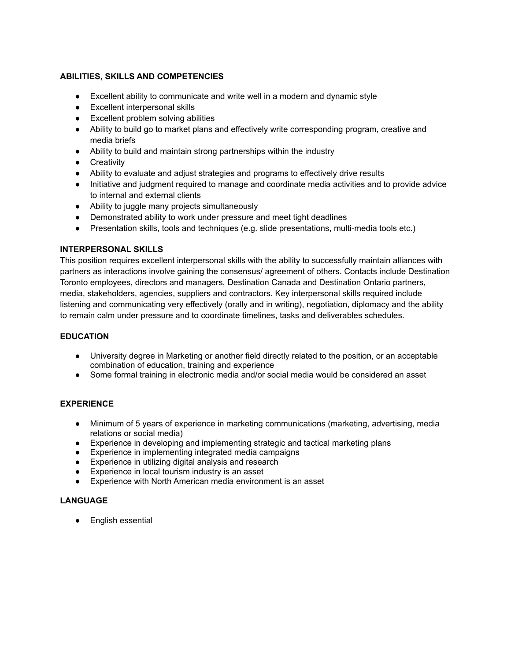# **ABILITIES, SKILLS AND COMPETENCIES**

- Excellent ability to communicate and write well in a modern and dynamic style
- Excellent interpersonal skills
- Excellent problem solving abilities
- Ability to build go to market plans and effectively write corresponding program, creative and media briefs
- Ability to build and maintain strong partnerships within the industry
- **•** Creativity
- Ability to evaluate and adjust strategies and programs to effectively drive results
- Initiative and judgment required to manage and coordinate media activities and to provide advice to internal and external clients
- Ability to juggle many projects simultaneously
- Demonstrated ability to work under pressure and meet tight deadlines
- Presentation skills, tools and techniques (e.g. slide presentations, multi-media tools etc.)

# **INTERPERSONAL SKILLS**

This position requires excellent interpersonal skills with the ability to successfully maintain alliances with partners as interactions involve gaining the consensus/ agreement of others. Contacts include Destination Toronto employees, directors and managers, Destination Canada and Destination Ontario partners, media, stakeholders, agencies, suppliers and contractors. Key interpersonal skills required include listening and communicating very effectively (orally and in writing), negotiation, diplomacy and the ability to remain calm under pressure and to coordinate timelines, tasks and deliverables schedules.

# **EDUCATION**

- University degree in Marketing or another field directly related to the position, or an acceptable combination of education, training and experience
- Some formal training in electronic media and/or social media would be considered an asset

# **EXPERIENCE**

- Minimum of 5 years of experience in marketing communications (marketing, advertising, media relations or social media)
- Experience in developing and implementing strategic and tactical marketing plans
- Experience in implementing integrated media campaigns
- Experience in utilizing digital analysis and research
- Experience in local tourism industry is an asset
- Experience with North American media environment is an asset

## **LANGUAGE**

● English essential